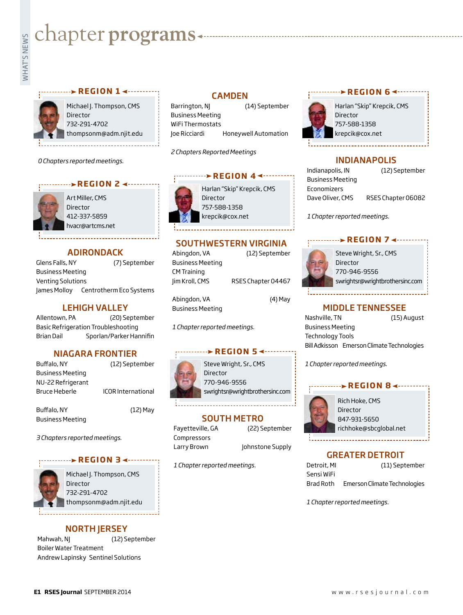# **Exampler programs**<br>Example:<br>Fig.

#### **REGION 1 ← ········**

Michael J. Thompson, CMS Director 732-291-4702 thompsonm@adm.njit.edu

*0 Chapters reported meetings.*

#### **REGION 2 <--------**



Art Miller, CMS Director 412-337-5859 hvacr@artcms.net

#### ADIRONDACK

Glens Falls, NY (7) September Business Meeting Venting Solutions James Molloy Centrotherm Eco Systems

#### LEHIGH VALLEY

Allentown, PA (20) September Basic Refrigeration Troubleshooting Brian Dail Sporlan/Parker Hannifin

#### NIAGARA FRONTIER

| Buffalo, NY       | (12) September            |
|-------------------|---------------------------|
| Business Meeting  |                           |
| NU-22 Refrigerant |                           |
| Bruce Heberle     | <b>ICOR International</b> |
|                   |                           |

Buffalo, NY (12) May Business Meeting

*3 Chapters reported meetings.*

#### **REGION 3**



Michael J. Thompson, CMS **Director** 732-291-4702 thompsonm@adm.njit.edu

#### NORTH JERSEY

Mahwah, NJ (12) September Boiler Water Treatment Andrew Lapinsky Sentinel Solutions

#### CAMDEN

Barrington, NJ (14) September Business Meeting WiFi Thermostats Joe Ricciardi Honeywell Automation

*2 Chapters Reported Meetings*

#### **PREGION 4 <------**

Harlan "Skip" Krepcik, CMS **Director** 757-588-1358 krepcik@cox.net

#### SOUTHWESTERN VIRGINIA

| Abingdon, VA            | (12) September     |
|-------------------------|--------------------|
| <b>Business Meeting</b> |                    |
| <b>CM Training</b>      |                    |
| Jim Kroll, CMS          | RSES Chapter 04467 |
|                         |                    |
| Abingdon, VA            | (4) May            |
| <b>Business Meeting</b> |                    |

*1 Chapter reported meetings.*

#### **REGION 5**

Steve Wright, Sr., CMS Director 770-946-9556 swrightsr@wrightbrothersinc.com

#### SOUTH METRO

Compressors

*1 Chapter reported meetings.*

#### **EXAMPLE REGION 6 <--------**



Harlan "Skip" Krepcik, CMS 757-588-1358 krepcik@cox.net

#### INDIANAPOLIS

| Indianapolis, IN        | (12) September     |
|-------------------------|--------------------|
| <b>Business Meeting</b> |                    |
| Economizers             |                    |
| Dave Oliver, CMS        | RSES Chapter 06082 |

*1 Chapter reported meetings.*

#### **REGION 7 4 - - - - - -**



Steve Wright, Sr., CMS Director 770-946-9556 swrightsr@wrightbrothersinc.com

#### MIDDLE TENNESSEE

Nashville, TN (15) August Business Meeting Technology Tools Bill Adkisson Emerson Climate Technologies

*1 Chapter reported meetings.*

#### **REGION 8 <-------**



Rich Hoke, CMS Director 847-931-5650 richhoke@sbcglobal.net

#### GREATER DETROIT

| Detroit, MI | (11) September               |
|-------------|------------------------------|
| Sensi WiFi  |                              |
| Brad Roth   | Emerson Climate Technologies |

*1 Chapter reported meetings.*

## Fayetteville, GA (22) September

Larry Brown Johnstone Supply